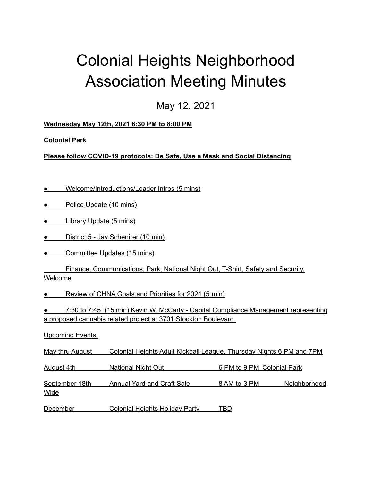## Colonial Heights Neighborhood Association Meeting Minutes

May 12, 2021

**Wednesday May 12th, 2021 6:30 PM to 8:00 PM**

**Colonial Park**

**Please follow COVID-19 protocols: Be Safe, Use a Mask and Social Distancing**

- Welcome/Introductions/Leader Intros (5 mins)
- Police Update (10 mins)
- Library Update (5 mins)
- District 5 Jay Schenirer (10 min)
- **Committee Updates (15 mins)**

Finance, Communications, Park, National Night Out, T-Shirt, Safety and Security, Welcome

● Review of CHNA Goals and Priorities for 2021 (5 min)

● 7:30 to 7:45 (15 min) Kevin W. McCarty - Capital Compliance Management representing a proposed cannabis related project at 3701 Stockton Boulevard.

Upcoming Events:

May thru August Colonial Heights Adult Kickball League, Thursday Nights 6 PM and 7PM

August 4th National Night Out 6 PM to 9 PM Colonial Park

September 18th Annual Yard and Craft Sale 8 AM to 3 PM Neighborhood Wide

December Colonial Heights Holiday Party TBD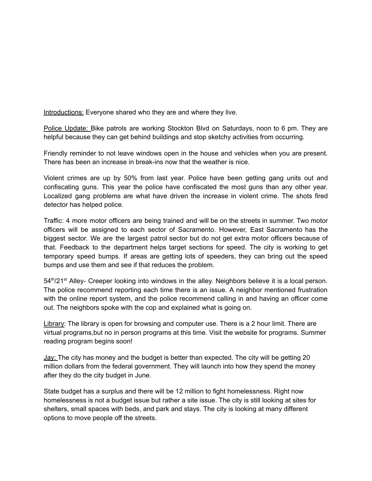Introductions: Everyone shared who they are and where they live.

Police Update: Bike patrols are working Stockton Blvd on Saturdays, noon to 6 pm. They are helpful because they can get behind buildings and stop sketchy activities from occurring.

Friendly reminder to not leave windows open in the house and vehicles when you are present. There has been an increase in break-ins now that the weather is nice.

Violent crimes are up by 50% from last year. Police have been getting gang units out and confiscating guns. This year the police have confiscated the most guns than any other year. Localized gang problems are what have driven the increase in violent crime. The shots fired detector has helped police.

Traffic: 4 more motor officers are being trained and will be on the streets in summer. Two motor officers will be assigned to each sector of Sacramento. However, East Sacramento has the biggest sector. We are the largest patrol sector but do not get extra motor officers because of that. Feedback to the department helps target sections for speed. The city is working to get temporary speed bumps. If areas are getting lots of speeders, they can bring out the speed bumps and use them and see if that reduces the problem.

54<sup>th</sup>/21<sup>st</sup> Alley- Creeper looking into windows in the alley. Neighbors believe it is a local person. The police recommend reporting each time there is an issue. A neighbor mentioned frustration with the online report system, and the police recommend calling in and having an officer come out. The neighbors spoke with the cop and explained what is going on.

Library: The library is open for browsing and computer use. There is a 2 hour limit. There are virtual programs,but no in person programs at this time. Visit the website for programs. Summer reading program begins soon!

Jay: The city has money and the budget is better than expected. The city will be getting 20 million dollars from the federal government. They will launch into how they spend the money after they do the city budget in June.

State budget has a surplus and there will be 12 million to fight homelessness. Right now homelessness is not a budget issue but rather a site issue. The city is still looking at sites for shelters, small spaces with beds, and park and stays. The city is looking at many different options to move people off the streets.